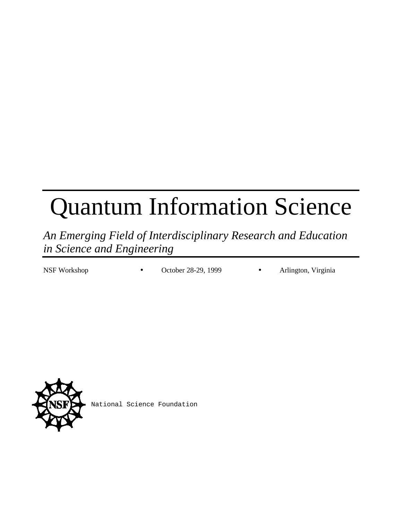# Quantum Information Science

*An Emerging Field of Interdisciplinary Research and Education in Science and Engineering*

NSF Workshop • October 28-29, 1999 • Arlington, Virginia



National Science Foundation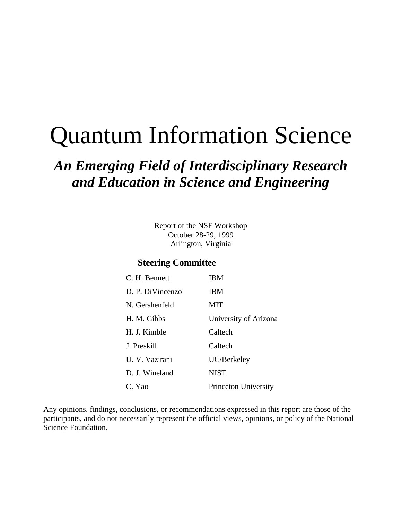# Quantum Information Science

## *An Emerging Field of Interdisciplinary Research and Education in Science and Engineering*

Report of the NSF Workshop October 28-29, 1999 Arlington, Virginia

#### **Steering Committee**

| C. H. Bennett    | <b>IBM</b>            |
|------------------|-----------------------|
| D. P. DiVincenzo | <b>IBM</b>            |
| N. Gershenfeld   | MIT                   |
| H. M. Gibbs      | University of Arizona |
| H. J. Kimble     | Caltech               |
| J. Preskill      | Caltech               |
| U. V. Vazirani   | UC/Berkeley           |
| D. J. Wineland   | <b>NIST</b>           |
| C. Yao           | Princeton University  |

Any opinions, findings, conclusions, or recommendations expressed in this report are those of the participants, and do not necessarily represent the official views, opinions, or policy of the National Science Foundation.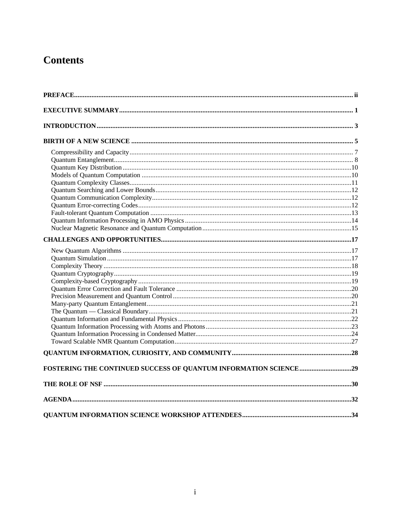## **Contents**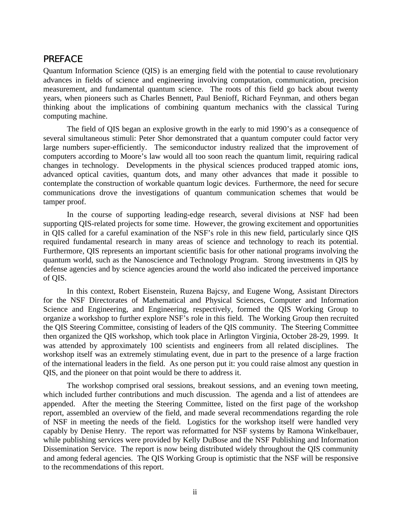#### PREFACE

Quantum Information Science (QIS) is an emerging field with the potential to cause revolutionary advances in fields of science and engineering involving computation, communication, precision measurement, and fundamental quantum science. The roots of this field go back about twenty years, when pioneers such as Charles Bennett, Paul Benioff, Richard Feynman, and others began thinking about the implications of combining quantum mechanics with the classical Turing computing machine.

The field of QIS began an explosive growth in the early to mid 1990's as a consequence of several simultaneous stimuli: Peter Shor demonstrated that a quantum computer could factor very large numbers super-efficiently. The semiconductor industry realized that the improvement of computers according to Moore's law would all too soon reach the quantum limit, requiring radical changes in technology. Developments in the physical sciences produced trapped atomic ions, advanced optical cavities, quantum dots, and many other advances that made it possible to contemplate the construction of workable quantum logic devices. Furthermore, the need for secure communications drove the investigations of quantum communication schemes that would be tamper proof.

In the course of supporting leading-edge research, several divisions at NSF had been supporting QIS-related projects for some time. However, the growing excitement and opportunities in QIS called for a careful examination of the NSF's role in this new field, particularly since QIS required fundamental research in many areas of science and technology to reach its potential. Furthermore, QIS represents an important scientific basis for other national programs involving the quantum world, such as the Nanoscience and Technology Program. Strong investments in QIS by defense agencies and by science agencies around the world also indicated the perceived importance of QIS.

In this context, Robert Eisenstein, Ruzena Bajcsy, and Eugene Wong, Assistant Directors for the NSF Directorates of Mathematical and Physical Sciences, Computer and Information Science and Engineering, and Engineering, respectively, formed the QIS Working Group to organize a workshop to further explore NSF's role in this field. The Working Group then recruited the QIS Steering Committee, consisting of leaders of the QIS community. The Steering Committee then organized the QIS workshop, which took place in Arlington Virginia, October 28-29, 1999. It was attended by approximately 100 scientists and engineers from all related disciplines. The workshop itself was an extremely stimulating event, due in part to the presence of a large fraction of the international leaders in the field. As one person put it: you could raise almost any question in QIS, and the pioneer on that point would be there to address it.

The workshop comprised oral sessions, breakout sessions, and an evening town meeting, which included further contributions and much discussion. The agenda and a list of attendees are appended. After the meeting the Steering Committee, listed on the first page of the workshop report, assembled an overview of the field, and made several recommendations regarding the role of NSF in meeting the needs of the field. Logistics for the workshop itself were handled very capably by Denise Henry. The report was reformatted for NSF systems by Ramona Winkelbauer, while publishing services were provided by Kelly DuBose and the NSF Publishing and Information Dissemination Service. The report is now being distributed widely throughout the QIS community and among federal agencies. The QIS Working Group is optimistic that the NSF will be responsive to the recommendations of this report.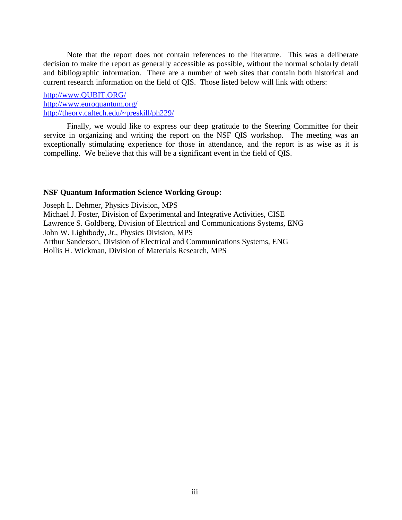Note that the report does not contain references to the literature. This was a deliberate decision to make the report as generally accessible as possible, without the normal scholarly detail and bibliographic information. There are a number of web sites that contain both historical and current research information on the field of QIS. Those listed below will link with others:

#### http://www.QUBIT.ORG/ http://www.euroquantum.org/ http://theory.caltech.edu/~preskill/ph229/

Finally, we would like to express our deep gratitude to the Steering Committee for their service in organizing and writing the report on the NSF QIS workshop. The meeting was an exceptionally stimulating experience for those in attendance, and the report is as wise as it is compelling. We believe that this will be a significant event in the field of QIS.

#### **NSF Quantum Information Science Working Group:**

Joseph L. Dehmer, Physics Division, MPS Michael J. Foster, Division of Experimental and Integrative Activities, CISE Lawrence S. Goldberg, Division of Electrical and Communications Systems, ENG John W. Lightbody, Jr., Physics Division, MPS Arthur Sanderson, Division of Electrical and Communications Systems, ENG Hollis H. Wickman, Division of Materials Research, MPS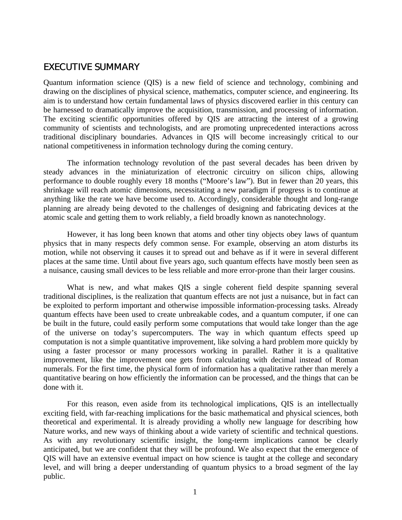#### EXECUTIVE SUMMARY

Quantum information science (QIS) is a new field of science and technology, combining and drawing on the disciplines of physical science, mathematics, computer science, and engineering. Its aim is to understand how certain fundamental laws of physics discovered earlier in this century can be harnessed to dramatically improve the acquisition, transmission, and processing of information. The exciting scientific opportunities offered by QIS are attracting the interest of a growing community of scientists and technologists, and are promoting unprecedented interactions across traditional disciplinary boundaries. Advances in QIS will become increasingly critical to our national competitiveness in information technology during the coming century.

The information technology revolution of the past several decades has been driven by steady advances in the miniaturization of electronic circuitry on silicon chips, allowing performance to double roughly every 18 months ("Moore's law"). But in fewer than 20 years, this shrinkage will reach atomic dimensions, necessitating a new paradigm if progress is to continue at anything like the rate we have become used to. Accordingly, considerable thought and long-range planning are already being devoted to the challenges of designing and fabricating devices at the atomic scale and getting them to work reliably, a field broadly known as nanotechnology.

However, it has long been known that atoms and other tiny objects obey laws of quantum physics that in many respects defy common sense. For example, observing an atom disturbs its motion, while not observing it causes it to spread out and behave as if it were in several different places at the same time. Until about five years ago, such quantum effects have mostly been seen as a nuisance, causing small devices to be less reliable and more error-prone than their larger cousins.

What is new, and what makes QIS a single coherent field despite spanning several traditional disciplines, is the realization that quantum effects are not just a nuisance, but in fact can be exploited to perform important and otherwise impossible information-processing tasks. Already quantum effects have been used to create unbreakable codes, and a quantum computer, if one can be built in the future, could easily perform some computations that would take longer than the age of the universe on today's supercomputers. The way in which quantum effects speed up computation is not a simple quantitative improvement, like solving a hard problem more quickly by using a faster processor or many processors working in parallel. Rather it is a qualitative improvement, like the improvement one gets from calculating with decimal instead of Roman numerals. For the first time, the physical form of information has a qualitative rather than merely a quantitative bearing on how efficiently the information can be processed, and the things that can be done with it.

For this reason, even aside from its technological implications, QIS is an intellectually exciting field, with far-reaching implications for the basic mathematical and physical sciences, both theoretical and experimental. It is already providing a wholly new language for describing how Nature works, and new ways of thinking about a wide variety of scientific and technical questions. As with any revolutionary scientific insight, the long-term implications cannot be clearly anticipated, but we are confident that they will be profound. We also expect that the emergence of QIS will have an extensive eventual impact on how science is taught at the college and secondary level, and will bring a deeper understanding of quantum physics to a broad segment of the lay public.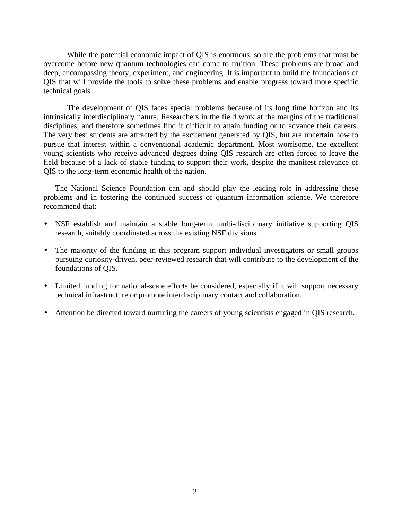While the potential economic impact of QIS is enormous, so are the problems that must be overcome before new quantum technologies can come to fruition. These problems are broad and deep, encompassing theory, experiment, and engineering. It is important to build the foundations of QIS that will provide the tools to solve these problems and enable progress toward more specific technical goals.

The development of QIS faces special problems because of its long time horizon and its intrinsically interdisciplinary nature. Researchers in the field work at the margins of the traditional disciplines, and therefore sometimes find it difficult to attain funding or to advance their careers. The very best students are attracted by the excitement generated by QIS, but are uncertain how to pursue that interest within a conventional academic department. Most worrisome, the excellent young scientists who receive advanced degrees doing QIS research are often forced to leave the field because of a lack of stable funding to support their work, despite the manifest relevance of QIS to the long-term economic health of the nation.

The National Science Foundation can and should play the leading role in addressing these problems and in fostering the continued success of quantum information science. We therefore recommend that:

- NSF establish and maintain a stable long-term multi-disciplinary initiative supporting QIS research, suitably coordinated across the existing NSF divisions.
- The majority of the funding in this program support individual investigators or small groups pursuing curiosity-driven, peer-reviewed research that will contribute to the development of the foundations of QIS.
- Limited funding for national-scale efforts be considered, especially if it will support necessary technical infrastructure or promote interdisciplinary contact and collaboration.
- Attention be directed toward nurturing the careers of young scientists engaged in QIS research.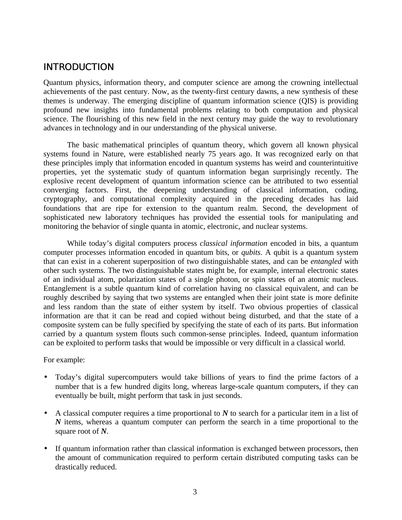#### **INTRODUCTION**

Quantum physics, information theory, and computer science are among the crowning intellectual achievements of the past century. Now, as the twenty-first century dawns, a new synthesis of these themes is underway. The emerging discipline of quantum information science (QIS) is providing profound new insights into fundamental problems relating to both computation and physical science. The flourishing of this new field in the next century may guide the way to revolutionary advances in technology and in our understanding of the physical universe.

The basic mathematical principles of quantum theory, which govern all known physical systems found in Nature, were established nearly 75 years ago. It was recognized early on that these principles imply that information encoded in quantum systems has weird and counterintuitive properties, yet the systematic study of quantum information began surprisingly recently. The explosive recent development of quantum information science can be attributed to two essential converging factors. First, the deepening understanding of classical information, coding, cryptography, and computational complexity acquired in the preceding decades has laid foundations that are ripe for extension to the quantum realm. Second, the development of sophisticated new laboratory techniques has provided the essential tools for manipulating and monitoring the behavior of single quanta in atomic, electronic, and nuclear systems.

While today's digital computers process *classical information* encoded in bits, a quantum computer processes information encoded in quantum bits, or *qubits*. A qubit is a quantum system that can exist in a coherent superposition of two distinguishable states, and can be *entangled* with other such systems. The two distinguishable states might be, for example, internal electronic states of an individual atom, polarization states of a single photon, or spin states of an atomic nucleus. Entanglement is a subtle quantum kind of correlation having no classical equivalent, and can be roughly described by saying that two systems are entangled when their joint state is more definite and less random than the state of either system by itself. Two obvious properties of classical information are that it can be read and copied without being disturbed, and that the state of a composite system can be fully specified by specifying the state of each of its parts. But information carried by a quantum system flouts such common-sense principles. Indeed, quantum information can be exploited to perform tasks that would be impossible or very difficult in a classical world.

For example:

- Today's digital supercomputers would take billions of years to find the prime factors of a number that is a few hundred digits long, whereas large-scale quantum computers, if they can eventually be built, might perform that task in just seconds.
- A classical computer requires a time proportional to *N* to search for a particular item in a list of *N* items, whereas a quantum computer can perform the search in a time proportional to the square root of *N*.
- If quantum information rather than classical information is exchanged between processors, then the amount of communication required to perform certain distributed computing tasks can be drastically reduced.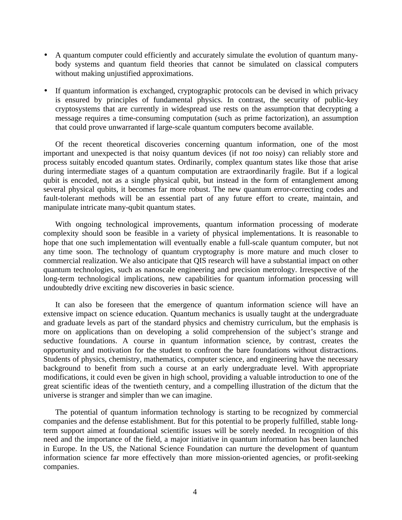- A quantum computer could efficiently and accurately simulate the evolution of quantum manybody systems and quantum field theories that cannot be simulated on classical computers without making unjustified approximations.
- If quantum information is exchanged, cryptographic protocols can be devised in which privacy is ensured by principles of fundamental physics. In contrast, the security of public-key cryptosystems that are currently in widespread use rests on the assumption that decrypting a message requires a time-consuming computation (such as prime factorization), an assumption that could prove unwarranted if large-scale quantum computers become available.

Of the recent theoretical discoveries concerning quantum information, one of the most important and unexpected is that noisy quantum devices (if not *too* noisy) can reliably store and process suitably encoded quantum states. Ordinarily, complex quantum states like those that arise during intermediate stages of a quantum computation are extraordinarily fragile. But if a logical qubit is encoded, not as a single physical qubit, but instead in the form of entanglement among several physical qubits, it becomes far more robust. The new quantum error-correcting codes and fault-tolerant methods will be an essential part of any future effort to create, maintain, and manipulate intricate many-qubit quantum states.

With ongoing technological improvements, quantum information processing of moderate complexity should soon be feasible in a variety of physical implementations. It is reasonable to hope that one such implementation will eventually enable a full-scale quantum computer, but not any time soon. The technology of quantum cryptography is more mature and much closer to commercial realization. We also anticipate that QIS research will have a substantial impact on other quantum technologies, such as nanoscale engineering and precision metrology. Irrespective of the long-term technological implications, new capabilities for quantum information processing will undoubtedly drive exciting new discoveries in basic science.

It can also be foreseen that the emergence of quantum information science will have an extensive impact on science education. Quantum mechanics is usually taught at the undergraduate and graduate levels as part of the standard physics and chemistry curriculum, but the emphasis is more on applications than on developing a solid comprehension of the subject's strange and seductive foundations. A course in quantum information science, by contrast, creates the opportunity and motivation for the student to confront the bare foundations without distractions. Students of physics, chemistry, mathematics, computer science, and engineering have the necessary background to benefit from such a course at an early undergraduate level. With appropriate modifications, it could even be given in high school, providing a valuable introduction to one of the great scientific ideas of the twentieth century, and a compelling illustration of the dictum that the universe is stranger and simpler than we can imagine.

The potential of quantum information technology is starting to be recognized by commercial companies and the defense establishment. But for this potential to be properly fulfilled, stable longterm support aimed at foundational scientific issues will be sorely needed. In recognition of this need and the importance of the field, a major initiative in quantum information has been launched in Europe. In the US, the National Science Foundation can nurture the development of quantum information science far more effectively than more mission-oriented agencies, or profit-seeking companies.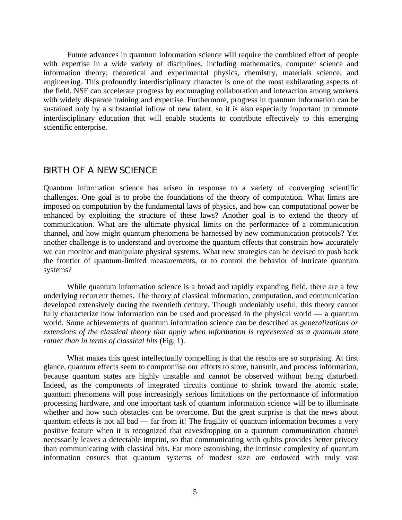Future advances in quantum information science will require the combined effort of people with expertise in a wide variety of disciplines, including mathematics, computer science and information theory, theoretical and experimental physics, chemistry, materials science, and engineering. This profoundly interdisciplinary character is one of the most exhilarating aspects of the field. NSF can accelerate progress by encouraging collaboration and interaction among workers with widely disparate training and expertise. Furthermore, progress in quantum information can be sustained only by a substantial inflow of new talent, so it is also especially important to promote interdisciplinary education that will enable students to contribute effectively to this emerging scientific enterprise.

#### BIRTH OF A NEW SCIENCE

Quantum information science has arisen in response to a variety of converging scientific challenges. One goal is to probe the foundations of the theory of computation. What limits are imposed on computation by the fundamental laws of physics, and how can computational power be enhanced by exploiting the structure of these laws? Another goal is to extend the theory of communication. What are the ultimate physical limits on the performance of a communication channel, and how might quantum phenomena be harnessed by new communication protocols? Yet another challenge is to understand and overcome the quantum effects that constrain how accurately we can monitor and manipulate physical systems. What new strategies can be devised to push back the frontier of quantum-limited measurements, or to control the behavior of intricate quantum systems?

While quantum information science is a broad and rapidly expanding field, there are a few underlying recurrent themes. The theory of classical information, computation, and communication developed extensively during the twentieth century. Though undeniably useful, this theory cannot fully characterize how information can be used and processed in the physical world — a quantum world. Some achievements of quantum information science can be described as *generalizations or extensions of the classical theory that apply when information is represented as a quantum state rather than in terms of classical bits* (Fig. 1).

What makes this quest intellectually compelling is that the results are so surprising. At first glance, quantum effects seem to compromise our efforts to store, transmit, and process information, because quantum states are highly unstable and cannot be observed without being disturbed. Indeed, as the components of integrated circuits continue to shrink toward the atomic scale, quantum phenomena will pose increasingly serious limitations on the performance of information processing hardware, and one important task of quantum information science will be to illuminate whether and how such obstacles can be overcome. But the great surprise is that the news about quantum effects is not all bad — far from it! The fragility of quantum information becomes a very positive feature when it is recognized that eavesdropping on a quantum communication channel necessarily leaves a detectable imprint, so that communicating with qubits provides better privacy than communicating with classical bits. Far more astonishing, the intrinsic complexity of quantum information ensures that quantum systems of modest size are endowed with truly vast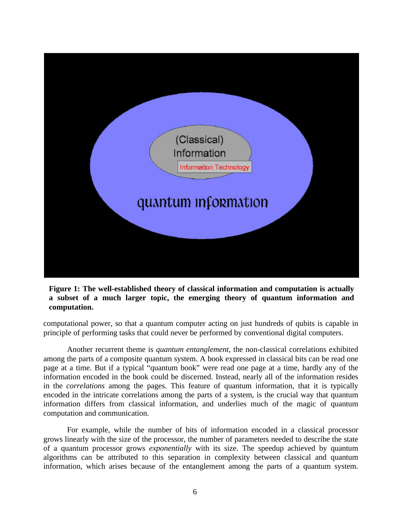

#### **Figure 1: The well-established theory of classical information and computation is actually a subset of a much larger topic, the emerging theory of quantum information and computation.**

computational power, so that a quantum computer acting on just hundreds of qubits is capable in principle of performing tasks that could never be performed by conventional digital computers.

Another recurrent theme is *quantum entanglement*, the non-classical correlations exhibited among the parts of a composite quantum system. A book expressed in classical bits can be read one page at a time. But if a typical "quantum book" were read one page at a time, hardly any of the information encoded in the book could be discerned. Instead, nearly all of the information resides in the *correlations* among the pages. This feature of quantum information, that it is typically encoded in the intricate correlations among the parts of a system, is the crucial way that quantum information differs from classical information, and underlies much of the magic of quantum computation and communication.

For example, while the number of bits of information encoded in a classical processor grows linearly with the size of the processor, the number of parameters needed to describe the state of a quantum processor grows *exponentially* with its size. The speedup achieved by quantum algorithms can be attributed to this separation in complexity between classical and quantum information, which arises because of the entanglement among the parts of a quantum system.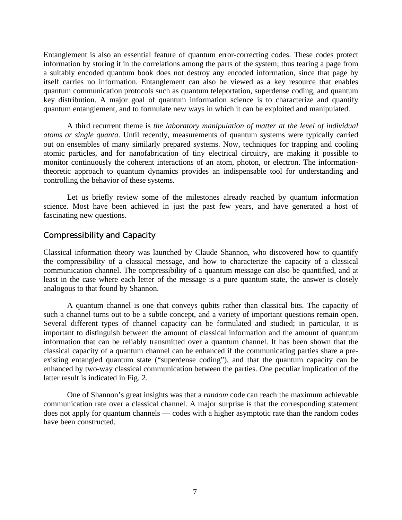Entanglement is also an essential feature of quantum error-correcting codes. These codes protect information by storing it in the correlations among the parts of the system; thus tearing a page from a suitably encoded quantum book does not destroy any encoded information, since that page by itself carries no information. Entanglement can also be viewed as a key resource that enables quantum communication protocols such as quantum teleportation, superdense coding, and quantum key distribution. A major goal of quantum information science is to characterize and quantify quantum entanglement, and to formulate new ways in which it can be exploited and manipulated.

A third recurrent theme is *the laboratory manipulation of matter at the level of individual atoms or single quanta*. Until recently, measurements of quantum systems were typically carried out on ensembles of many similarly prepared systems. Now, techniques for trapping and cooling atomic particles, and for nanofabrication of tiny electrical circuitry, are making it possible to monitor continuously the coherent interactions of an atom, photon, or electron. The informationtheoretic approach to quantum dynamics provides an indispensable tool for understanding and controlling the behavior of these systems.

Let us briefly review some of the milestones already reached by quantum information science. Most have been achieved in just the past few years, and have generated a host of fascinating new questions.

#### Compressibility and Capacity

Classical information theory was launched by Claude Shannon, who discovered how to quantify the compressibility of a classical message, and how to characterize the capacity of a classical communication channel. The compressibility of a quantum message can also be quantified, and at least in the case where each letter of the message is a pure quantum state, the answer is closely analogous to that found by Shannon.

A quantum channel is one that conveys qubits rather than classical bits. The capacity of such a channel turns out to be a subtle concept, and a variety of important questions remain open. Several different types of channel capacity can be formulated and studied; in particular, it is important to distinguish between the amount of classical information and the amount of quantum information that can be reliably transmitted over a quantum channel. It has been shown that the classical capacity of a quantum channel can be enhanced if the communicating parties share a preexisting entangled quantum state ("superdense coding"), and that the quantum capacity can be enhanced by two-way classical communication between the parties. One peculiar implication of the latter result is indicated in Fig. 2.

One of Shannon's great insights was that a *random* code can reach the maximum achievable communication rate over a classical channel. A major surprise is that the corresponding statement does not apply for quantum channels — codes with a higher asymptotic rate than the random codes have been constructed.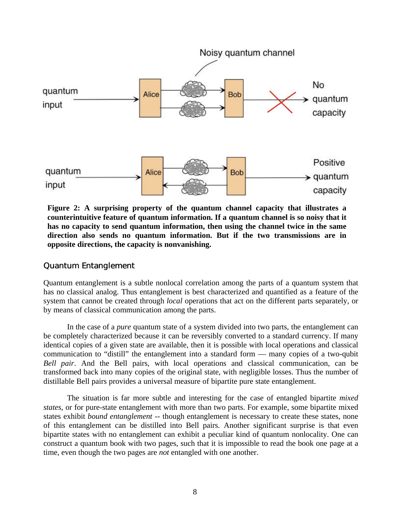

**Figure 2: A surprising property of the quantum channel capacity that illustrates a counterintuitive feature of quantum information. If a quantum channel is so noisy that it has no capacity to send quantum information, then using the channel twice in the same direction also sends no quantum information. But if the two transmissions are in opposite directions, the capacity is nonvanishing.**

#### Quantum Entanglement

Quantum entanglement is a subtle nonlocal correlation among the parts of a quantum system that has no classical analog. Thus entanglement is best characterized and quantified as a feature of the system that cannot be created through *local* operations that act on the different parts separately, or by means of classical communication among the parts.

In the case of a *pure* quantum state of a system divided into two parts, the entanglement can be completely characterized because it can be reversibly converted to a standard currency. If many identical copies of a given state are available, then it is possible with local operations and classical communication to "distill" the entanglement into a standard form — many copies of a two-qubit *Bell pair*. And the Bell pairs, with local operations and classical communication, can be transformed back into many copies of the original state, with negligible losses. Thus the number of distillable Bell pairs provides a universal measure of bipartite pure state entanglement.

The situation is far more subtle and interesting for the case of entangled bipartite *mixed states*, or for pure-state entanglement with more than two parts. For example, some bipartite mixed states exhibit *bound entanglement* -- though entanglement is necessary to create these states, none of this entanglement can be distilled into Bell pairs. Another significant surprise is that even bipartite states with no entanglement can exhibit a peculiar kind of quantum nonlocality. One can construct a quantum book with two pages, such that it is impossible to read the book one page at a time, even though the two pages are *not* entangled with one another.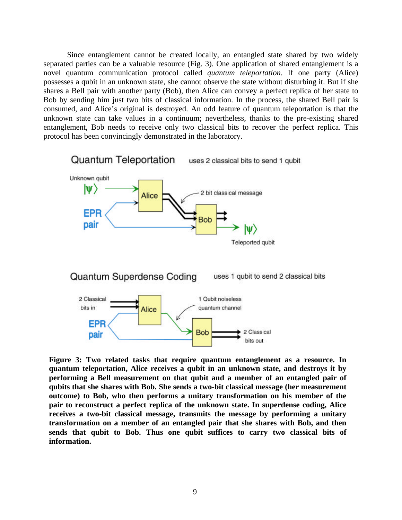Since entanglement cannot be created locally, an entangled state shared by two widely separated parties can be a valuable resource (Fig. 3). One application of shared entanglement is a novel quantum communication protocol called *quantum teleportation*. If one party (Alice) possesses a qubit in an unknown state, she cannot observe the state without disturbing it. But if she shares a Bell pair with another party (Bob), then Alice can convey a perfect replica of her state to Bob by sending him just two bits of classical information. In the process, the shared Bell pair is consumed, and Alice's original is destroyed. An odd feature of quantum teleportation is that the unknown state can take values in a continuum; nevertheless, thanks to the pre-existing shared entanglement, Bob needs to receive only two classical bits to recover the perfect replica. This protocol has been convincingly demonstrated in the laboratory.



**Figure 3: Two related tasks that require quantum entanglement as a resource. In quantum teleportation, Alice receives a qubit in an unknown state, and destroys it by performing a Bell measurement on that qubit and a member of an entangled pair of qubits that she shares with Bob. She sends a two-bit classical message (her measurement outcome) to Bob, who then performs a unitary transformation on his member of the pair to reconstruct a perfect replica of the unknown state. In superdense coding, Alice receives a two-bit classical message, transmits the message by performing a unitary transformation on a member of an entangled pair that she shares with Bob, and then sends that qubit to Bob. Thus one qubit suffices to carry two classical bits of information.**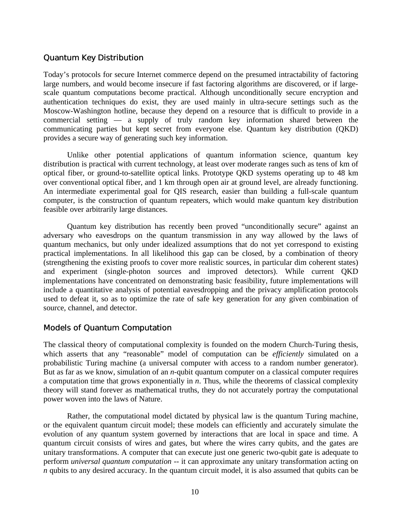#### Quantum Key Distribution

Today's protocols for secure Internet commerce depend on the presumed intractability of factoring large numbers, and would become insecure if fast factoring algorithms are discovered, or if largescale quantum computations become practical. Although unconditionally secure encryption and authentication techniques do exist, they are used mainly in ultra-secure settings such as the Moscow-Washington hotline, because they depend on a resource that is difficult to provide in a commercial setting — a supply of truly random key information shared between the communicating parties but kept secret from everyone else. Quantum key distribution (QKD) provides a secure way of generating such key information.

Unlike other potential applications of quantum information science, quantum key distribution is practical with current technology, at least over moderate ranges such as tens of km of optical fiber, or ground-to-satellite optical links. Prototype QKD systems operating up to 48 km over conventional optical fiber, and 1 km through open air at ground level, are already functioning. An intermediate experimental goal for QIS research, easier than building a full-scale quantum computer, is the construction of quantum repeaters, which would make quantum key distribution feasible over arbitrarily large distances.

Quantum key distribution has recently been proved "unconditionally secure" against an adversary who eavesdrops on the quantum transmission in any way allowed by the laws of quantum mechanics, but only under idealized assumptions that do not yet correspond to existing practical implementations. In all likelihood this gap can be closed, by a combination of theory (strengthening the existing proofs to cover more realistic sources, in particular dim coherent states) and experiment (single-photon sources and improved detectors). While current QKD implementations have concentrated on demonstrating basic feasibility, future implementations will include a quantitative analysis of potential eavesdropping and the privacy amplification protocols used to defeat it, so as to optimize the rate of safe key generation for any given combination of source, channel, and detector.

#### Models of Quantum Computation

The classical theory of computational complexity is founded on the modern Church-Turing thesis, which asserts that any "reasonable" model of computation can be *efficiently* simulated on a probabilistic Turing machine (a universal computer with access to a random number generator). But as far as we know, simulation of an *n*-qubit quantum computer on a classical computer requires a computation time that grows exponentially in *n*. Thus, while the theorems of classical complexity theory will stand forever as mathematical truths, they do not accurately portray the computational power woven into the laws of Nature.

Rather, the computational model dictated by physical law is the quantum Turing machine, or the equivalent quantum circuit model; these models can efficiently and accurately simulate the evolution of any quantum system governed by interactions that are local in space and time. A quantum circuit consists of wires and gates, but where the wires carry qubits, and the gates are unitary transformations. A computer that can execute just one generic two-qubit gate is adequate to perform *universal quantum computation* -- it can approximate any unitary transformation acting on *n* qubits to any desired accuracy. In the quantum circuit model, it is also assumed that qubits can be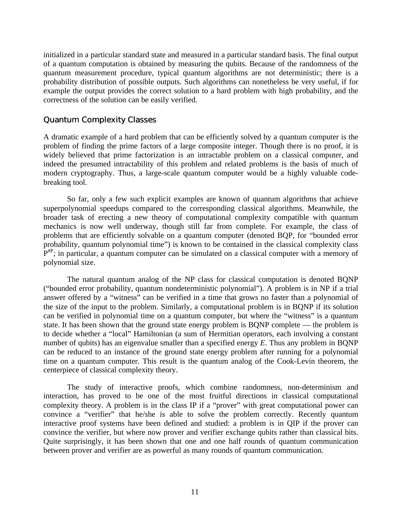initialized in a particular standard state and measured in a particular standard basis. The final output of a quantum computation is obtained by measuring the qubits. Because of the randomness of the quantum measurement procedure, typical quantum algorithms are not deterministic; there is a probability distribution of possible outputs. Such algorithms can nonetheless be very useful, if for example the output provides the correct solution to a hard problem with high probability, and the correctness of the solution can be easily verified.

#### Quantum Complexity Classes

A dramatic example of a hard problem that can be efficiently solved by a quantum computer is the problem of finding the prime factors of a large composite integer. Though there is no proof, it is widely believed that prime factorization is an intractable problem on a classical computer, and indeed the presumed intractability of this problem and related problems is the basis of much of modern cryptography. Thus, a large-scale quantum computer would be a highly valuable codebreaking tool.

So far, only a few such explicit examples are known of quantum algorithms that achieve superpolynomial speedups compared to the corresponding classical algorithms. Meanwhile, the broader task of erecting a new theory of computational complexity compatible with quantum mechanics is now well underway, though still far from complete. For example, the class of problems that are efficiently solvable on a quantum computer (denoted BQP, for "bounded error probability, quantum polynomial time") is known to be contained in the classical complexity class  $P^{HP}$ ; in particular, a quantum computer can be simulated on a classical computer with a memory of polynomial size.

The natural quantum analog of the NP class for classical computation is denoted BQNP ("bounded error probability, quantum nondeterministic polynomial"). A problem is in NP if a trial answer offered by a "witness" can be verified in a time that grows no faster than a polynomial of the size of the input to the problem. Similarly, a computational problem is in BQNP if its solution can be verified in polynomial time on a quantum computer, but where the "witness" is a quantum state. It has been shown that the ground state energy problem is BQNP complete — the problem is to decide whether a "local" Hamiltonian (a sum of Hermitian operators, each involving a constant number of qubits) has an eigenvalue smaller than a specified energy *E*. Thus any problem in BQNP can be reduced to an instance of the ground state energy problem after running for a polynomial time on a quantum computer. This result is the quantum analog of the Cook-Levin theorem, the centerpiece of classical complexity theory.

The study of interactive proofs, which combine randomness, non-determinism and interaction, has proved to be one of the most fruitful directions in classical computational complexity theory. A problem is in the class IP if a "prover" with great computational power can convince a "verifier" that he/she is able to solve the problem correctly. Recently quantum interactive proof systems have been defined and studied: a problem is in QIP if the prover can convince the verifier, but where now prover and verifier exchange qubits rather than classical bits. Quite surprisingly, it has been shown that one and one half rounds of quantum communication between prover and verifier are as powerful as many rounds of quantum communication.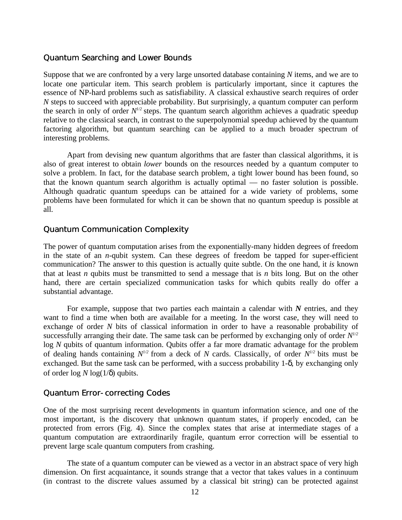#### Quantum Searching and Lower Bounds

Suppose that we are confronted by a very large unsorted database containing *N* items, and we are to locate one particular item. This search problem is particularly important, since it captures the essence of NP-hard problems such as satisfiability. A classical exhaustive search requires of order *N* steps to succeed with appreciable probability. But surprisingly, a quantum computer can perform the search in only of order  $N^{1/2}$  steps. The quantum search algorithm achieves a quadratic speedup relative to the classical search, in contrast to the superpolynomial speedup achieved by the quantum factoring algorithm, but quantum searching can be applied to a much broader spectrum of interesting problems.

Apart from devising new quantum algorithms that are faster than classical algorithms, it is also of great interest to obtain *lower* bounds on the resources needed by a quantum computer to solve a problem. In fact, for the database search problem, a tight lower bound has been found, so that the known quantum search algorithm is actually optimal — no faster solution is possible. Although quadratic quantum speedups can be attained for a wide variety of problems, some problems have been formulated for which it can be shown that no quantum speedup is possible at all.

#### Quantum Communication Complexity

The power of quantum computation arises from the exponentially-many hidden degrees of freedom in the state of an *n*-qubit system. Can these degrees of freedom be tapped for super-efficient communication? The answer to this question is actually quite subtle. On the one hand, it *is* known that at least *n* qubits must be transmitted to send a message that is *n* bits long. But on the other hand, there are certain specialized communication tasks for which qubits really do offer a substantial advantage.

For example, suppose that two parties each maintain a calendar with *N* entries, and they want to find a time when both are available for a meeting. In the worst case, they will need to exchange of order *N* bits of classical information in order to have a reasonable probability of successfully arranging their date. The same task can be performed by exchanging only of order  $N^{1/2}$ log *N* qubits of quantum information. Qubits offer a far more dramatic advantage for the problem of dealing hands containing  $N^{1/2}$  from a deck of N cards. Classically, of order  $N^{1/2}$  bits must be exchanged. But the same task can be performed, with a success probability 1-δ, by exchanging only of order  $\log N \log(1/\delta)$  qubits.

#### Quantum Error-correcting Codes

One of the most surprising recent developments in quantum information science, and one of the most important, is the discovery that unknown quantum states, if properly encoded, can be protected from errors (Fig. 4). Since the complex states that arise at intermediate stages of a quantum computation are extraordinarily fragile, quantum error correction will be essential to prevent large scale quantum computers from crashing.

The state of a quantum computer can be viewed as a vector in an abstract space of very high dimension. On first acquaintance, it sounds strange that a vector that takes values in a continuum (in contrast to the discrete values assumed by a classical bit string) can be protected against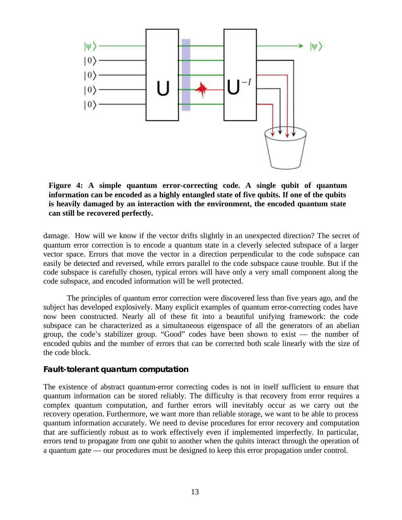

**Figure 4: A simple quantum error-correcting code. A single qubit of quantum information can be encoded as a highly entangled state of five qubits. If one of the qubits is heavily damaged by an interaction with the environment, the encoded quantum state can still be recovered perfectly.**

damage. How will we know if the vector drifts slightly in an unexpected direction? The secret of quantum error correction is to encode a quantum state in a cleverly selected subspace of a larger vector space. Errors that move the vector in a direction perpendicular to the code subspace can easily be detected and reversed, while errors parallel to the code subspace cause trouble. But if the code subspace is carefully chosen, typical errors will have only a very small component along the code subspace, and encoded information will be well protected.

The principles of quantum error correction were discovered less than five years ago, and the subject has developed explosively. Many explicit examples of quantum error-correcting codes have now been constructed. Nearly all of these fit into a beautiful unifying framework: the code subspace can be characterized as a simultaneous eigenspace of all the generators of an abelian group, the code's stabilizer group. "Good" codes have been shown to exist — the number of encoded qubits and the number of errors that can be corrected both scale linearly with the size of the code block.

#### **Fault-tolerant quantum computation**

The existence of abstract quantum-error correcting codes is not in itself sufficient to ensure that quantum information can be stored reliably. The difficulty is that recovery from error requires a complex quantum computation, and further errors will inevitably occur as we carry out the recovery operation. Furthermore, we want more than reliable storage, we want to be able to process quantum information accurately. We need to devise procedures for error recovery and computation that are sufficiently robust as to work effectively even if implemented imperfectly. In particular, errors tend to propagate from one qubit to another when the qubits interact through the operation of a quantum gate — our procedures must be designed to keep this error propagation under control.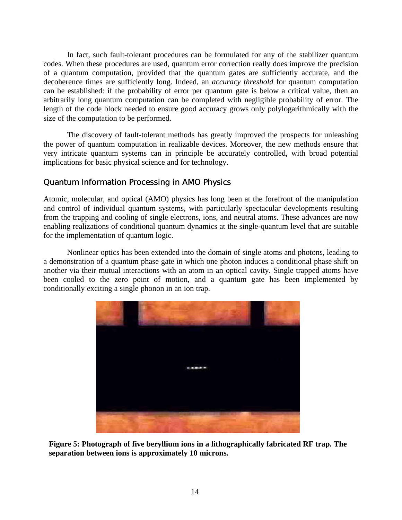In fact, such fault-tolerant procedures can be formulated for any of the stabilizer quantum codes. When these procedures are used, quantum error correction really does improve the precision of a quantum computation, provided that the quantum gates are sufficiently accurate, and the decoherence times are sufficiently long. Indeed, an *accuracy threshold* for quantum computation can be established: if the probability of error per quantum gate is below a critical value, then an arbitrarily long quantum computation can be completed with negligible probability of error. The length of the code block needed to ensure good accuracy grows only polylogarithmically with the size of the computation to be performed.

The discovery of fault-tolerant methods has greatly improved the prospects for unleashing the power of quantum computation in realizable devices. Moreover, the new methods ensure that very intricate quantum systems can in principle be accurately controlled, with broad potential implications for basic physical science and for technology.

#### Quantum Information Processing in AMO Physics

Atomic, molecular, and optical (AMO) physics has long been at the forefront of the manipulation and control of individual quantum systems, with particularly spectacular developments resulting from the trapping and cooling of single electrons, ions, and neutral atoms. These advances are now enabling realizations of conditional quantum dynamics at the single-quantum level that are suitable for the implementation of quantum logic.

Nonlinear optics has been extended into the domain of single atoms and photons, leading to a demonstration of a quantum phase gate in which one photon induces a conditional phase shift on another via their mutual interactions with an atom in an optical cavity. Single trapped atoms have been cooled to the zero point of motion, and a quantum gate has been implemented by conditionally exciting a single phonon in an ion trap.



**Figure 5: Photograph of five beryllium ions in a lithographically fabricated RF trap. The separation between ions is approximately 10 microns.**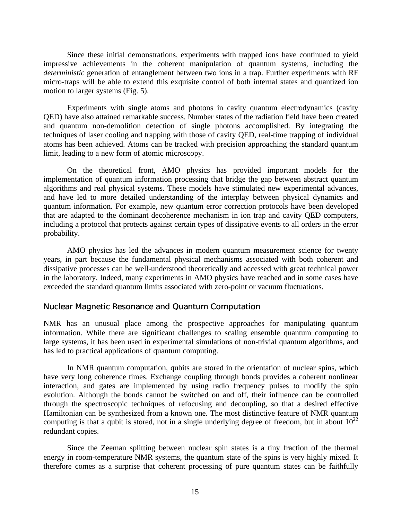Since these initial demonstrations, experiments with trapped ions have continued to yield impressive achievements in the coherent manipulation of quantum systems, including the *deterministic* generation of entanglement between two ions in a trap. Further experiments with RF micro-traps will be able to extend this exquisite control of both internal states and quantized ion motion to larger systems (Fig. 5).

Experiments with single atoms and photons in cavity quantum electrodynamics (cavity QED) have also attained remarkable success. Number states of the radiation field have been created and quantum non-demolition detection of single photons accomplished. By integrating the techniques of laser cooling and trapping with those of cavity QED, real-time trapping of individual atoms has been achieved. Atoms can be tracked with precision approaching the standard quantum limit, leading to a new form of atomic microscopy.

On the theoretical front, AMO physics has provided important models for the implementation of quantum information processing that bridge the gap between abstract quantum algorithms and real physical systems. These models have stimulated new experimental advances, and have led to more detailed understanding of the interplay between physical dynamics and quantum information. For example, new quantum error correction protocols have been developed that are adapted to the dominant decoherence mechanism in ion trap and cavity QED computers, including a protocol that protects against certain types of dissipative events to all orders in the error probability.

AMO physics has led the advances in modern quantum measurement science for twenty years, in part because the fundamental physical mechanisms associated with both coherent and dissipative processes can be well-understood theoretically and accessed with great technical power in the laboratory. Indeed, many experiments in AMO physics have reached and in some cases have exceeded the standard quantum limits associated with zero-point or vacuum fluctuations.

#### Nuclear Magnetic Resonance and Quantum Computation

NMR has an unusual place among the prospective approaches for manipulating quantum information. While there are significant challenges to scaling ensemble quantum computing to large systems, it has been used in experimental simulations of non-trivial quantum algorithms, and has led to practical applications of quantum computing.

In NMR quantum computation, qubits are stored in the orientation of nuclear spins, which have very long coherence times. Exchange coupling through bonds provides a coherent nonlinear interaction, and gates are implemented by using radio frequency pulses to modify the spin evolution. Although the bonds cannot be switched on and off, their influence can be controlled through the spectroscopic techniques of refocusing and decoupling, so that a desired effective Hamiltonian can be synthesized from a known one. The most distinctive feature of NMR quantum computing is that a qubit is stored, not in a single underlying degree of freedom, but in about  $10^{22}$ redundant copies.

Since the Zeeman splitting between nuclear spin states is a tiny fraction of the thermal energy in room-temperature NMR systems, the quantum state of the spins is very highly mixed. It therefore comes as a surprise that coherent processing of pure quantum states can be faithfully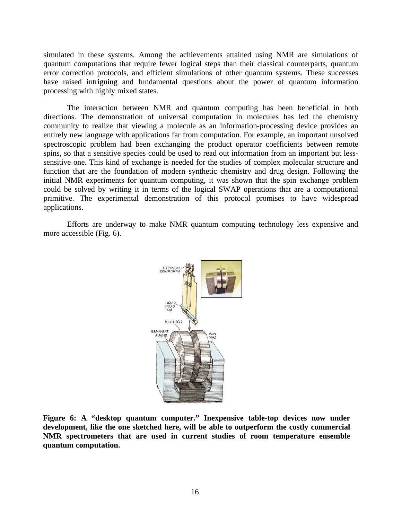simulated in these systems. Among the achievements attained using NMR are simulations of quantum computations that require fewer logical steps than their classical counterparts, quantum error correction protocols, and efficient simulations of other quantum systems. These successes have raised intriguing and fundamental questions about the power of quantum information processing with highly mixed states.

The interaction between NMR and quantum computing has been beneficial in both directions. The demonstration of universal computation in molecules has led the chemistry community to realize that viewing a molecule as an information-processing device provides an entirely new language with applications far from computation. For example, an important unsolved spectroscopic problem had been exchanging the product operator coefficients between remote spins, so that a sensitive species could be used to read out information from an important but lesssensitive one. This kind of exchange is needed for the studies of complex molecular structure and function that are the foundation of modern synthetic chemistry and drug design. Following the initial NMR experiments for quantum computing, it was shown that the spin exchange problem could be solved by writing it in terms of the logical SWAP operations that are a computational primitive. The experimental demonstration of this protocol promises to have widespread applications.

Efforts are underway to make NMR quantum computing technology less expensive and more accessible (Fig. 6).



**Figure 6: A "desktop quantum computer." Inexpensive table-top devices now under development, like the one sketched here, will be able to outperform the costly commercial NMR spectrometers that are used in current studies of room temperature ensemble quantum computation.**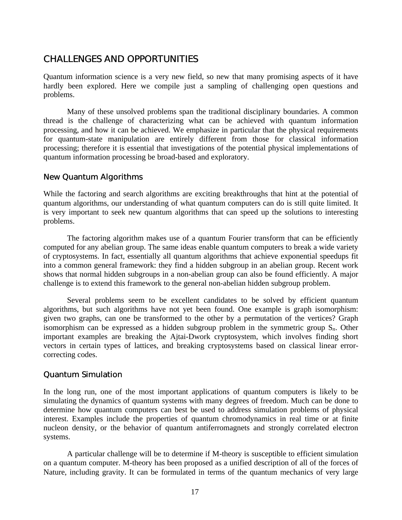#### CHALLENGES AND OPPORTUNITIES

Quantum information science is a very new field, so new that many promising aspects of it have hardly been explored. Here we compile just a sampling of challenging open questions and problems.

Many of these unsolved problems span the traditional disciplinary boundaries. A common thread is the challenge of characterizing what can be achieved with quantum information processing, and how it can be achieved. We emphasize in particular that the physical requirements for quantum-state manipulation are entirely different from those for classical information processing; therefore it is essential that investigations of the potential physical implementations of quantum information processing be broad-based and exploratory.

#### New Quantum Algorithms

While the factoring and search algorithms are exciting breakthroughs that hint at the potential of quantum algorithms, our understanding of what quantum computers can do is still quite limited. It is very important to seek new quantum algorithms that can speed up the solutions to interesting problems.

The factoring algorithm makes use of a quantum Fourier transform that can be efficiently computed for any abelian group. The same ideas enable quantum computers to break a wide variety of cryptosystems. In fact, essentially all quantum algorithms that achieve exponential speedups fit into a common general framework: they find a hidden subgroup in an abelian group. Recent work shows that normal hidden subgroups in a non-abelian group can also be found efficiently. A major challenge is to extend this framework to the general non-abelian hidden subgroup problem.

Several problems seem to be excellent candidates to be solved by efficient quantum algorithms, but such algorithms have not yet been found. One example is graph isomorphism: given two graphs, can one be transformed to the other by a permutation of the vertices? Graph isomorphism can be expressed as a hidden subgroup problem in the symmetric group S*n*. Other important examples are breaking the Ajtai-Dwork cryptosystem, which involves finding short vectors in certain types of lattices, and breaking cryptosystems based on classical linear errorcorrecting codes.

#### Quantum Simulation

In the long run, one of the most important applications of quantum computers is likely to be simulating the dynamics of quantum systems with many degrees of freedom. Much can be done to determine how quantum computers can best be used to address simulation problems of physical interest. Examples include the properties of quantum chromodynamics in real time or at finite nucleon density, or the behavior of quantum antiferromagnets and strongly correlated electron systems.

A particular challenge will be to determine if M-theory is susceptible to efficient simulation on a quantum computer. M-theory has been proposed as a unified description of all of the forces of Nature, including gravity. It can be formulated in terms of the quantum mechanics of very large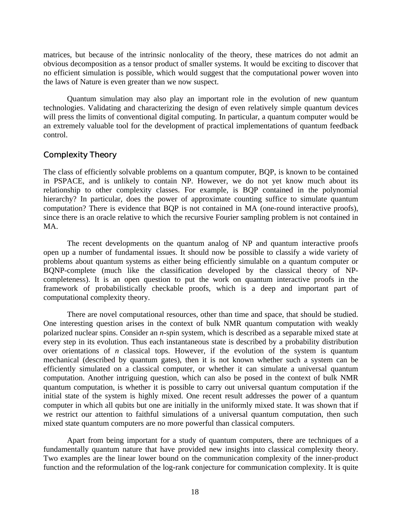matrices, but because of the intrinsic nonlocality of the theory, these matrices do not admit an obvious decomposition as a tensor product of smaller systems. It would be exciting to discover that no efficient simulation is possible, which would suggest that the computational power woven into the laws of Nature is even greater than we now suspect.

Quantum simulation may also play an important role in the evolution of new quantum technologies. Validating and characterizing the design of even relatively simple quantum devices will press the limits of conventional digital computing. In particular, a quantum computer would be an extremely valuable tool for the development of practical implementations of quantum feedback control.

#### Complexity Theory

The class of efficiently solvable problems on a quantum computer, BQP, is known to be contained in PSPACE, and is unlikely to contain NP. However, we do not yet know much about its relationship to other complexity classes. For example, is BQP contained in the polynomial hierarchy? In particular, does the power of approximate counting suffice to simulate quantum computation? There is evidence that BQP is not contained in MA (one-round interactive proofs), since there is an oracle relative to which the recursive Fourier sampling problem is not contained in MA.

The recent developments on the quantum analog of NP and quantum interactive proofs open up a number of fundamental issues. It should now be possible to classify a wide variety of problems about quantum systems as either being efficiently simulable on a quantum computer or BQNP-complete (much like the classification developed by the classical theory of NPcompleteness). It is an open question to put the work on quantum interactive proofs in the framework of probabilistically checkable proofs, which is a deep and important part of computational complexity theory.

There are novel computational resources, other than time and space, that should be studied. One interesting question arises in the context of bulk NMR quantum computation with weakly polarized nuclear spins. Consider an *n*-spin system, which is described as a separable mixed state at every step in its evolution. Thus each instantaneous state is described by a probability distribution over orientations of *n* classical tops. However, if the evolution of the system is quantum mechanical (described by quantum gates), then it is not known whether such a system can be efficiently simulated on a classical computer, or whether it can simulate a universal quantum computation. Another intriguing question, which can also be posed in the context of bulk NMR quantum computation, is whether it is possible to carry out universal quantum computation if the initial state of the system is highly mixed. One recent result addresses the power of a quantum computer in which all qubits but one are initially in the uniformly mixed state. It was shown that if we restrict our attention to faithful simulations of a universal quantum computation, then such mixed state quantum computers are no more powerful than classical computers.

Apart from being important for a study of quantum computers, there are techniques of a fundamentally quantum nature that have provided new insights into classical complexity theory. Two examples are the linear lower bound on the communication complexity of the inner-product function and the reformulation of the log-rank conjecture for communication complexity. It is quite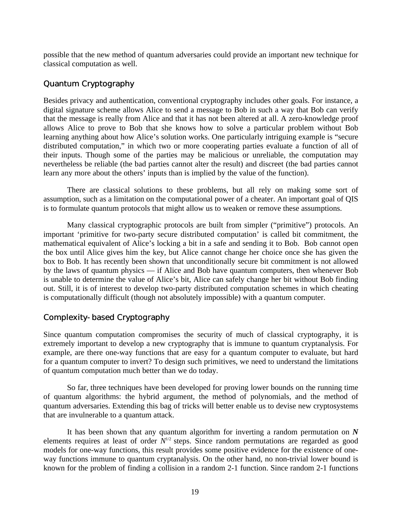possible that the new method of quantum adversaries could provide an important new technique for classical computation as well.

#### Quantum Cryptography

Besides privacy and authentication, conventional cryptography includes other goals. For instance, a digital signature scheme allows Alice to send a message to Bob in such a way that Bob can verify that the message is really from Alice and that it has not been altered at all. A zero-knowledge proof allows Alice to prove to Bob that she knows how to solve a particular problem without Bob learning anything about how Alice's solution works. One particularly intriguing example is "secure distributed computation," in which two or more cooperating parties evaluate a function of all of their inputs. Though some of the parties may be malicious or unreliable, the computation may nevertheless be reliable (the bad parties cannot alter the result) and discreet (the bad parties cannot learn any more about the others' inputs than is implied by the value of the function).

There are classical solutions to these problems, but all rely on making some sort of assumption, such as a limitation on the computational power of a cheater. An important goal of QIS is to formulate quantum protocols that might allow us to weaken or remove these assumptions.

Many classical cryptographic protocols are built from simpler ("primitive") protocols. An important 'primitive for two-party secure distributed computation' is called bit commitment, the mathematical equivalent of Alice's locking a bit in a safe and sending it to Bob. Bob cannot open the box until Alice gives him the key, but Alice cannot change her choice once she has given the box to Bob. It has recently been shown that unconditionally secure bit commitment is not allowed by the laws of quantum physics — if Alice and Bob have quantum computers, then whenever Bob is unable to determine the value of Alice's bit, Alice can safely change her bit without Bob finding out. Still, it is of interest to develop two-party distributed computation schemes in which cheating is computationally difficult (though not absolutely impossible) with a quantum computer.

#### Complexity-based Cryptography

Since quantum computation compromises the security of much of classical cryptography, it is extremely important to develop a new cryptography that is immune to quantum cryptanalysis. For example, are there one-way functions that are easy for a quantum computer to evaluate, but hard for a quantum computer to invert? To design such primitives, we need to understand the limitations of quantum computation much better than we do today.

So far, three techniques have been developed for proving lower bounds on the running time of quantum algorithms: the hybrid argument, the method of polynomials, and the method of quantum adversaries. Extending this bag of tricks will better enable us to devise new cryptosystems that are invulnerable to a quantum attack.

It has been shown that any quantum algorithm for inverting a random permutation on *N* elements requires at least of order  $N^{1/2}$  steps. Since random permutations are regarded as good models for one-way functions, this result provides some positive evidence for the existence of oneway functions immune to quantum cryptanalysis. On the other hand, no non-trivial lower bound is known for the problem of finding a collision in a random 2-1 function. Since random 2-1 functions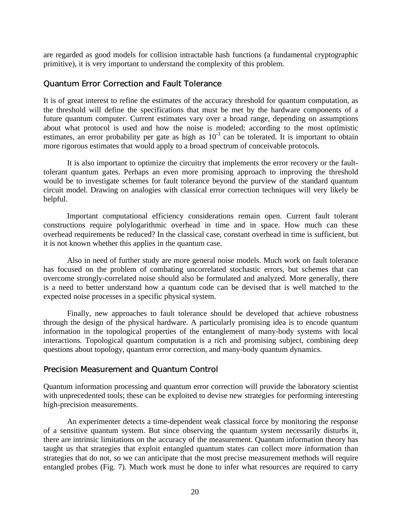are regarded as good models for collision intractable hash functions (a fundamental cryptographic primitive), it is very important to understand the complexity of this problem.

#### Quantum Error Correction and Fault Tolerance

It is of great interest to refine the estimates of the accuracy threshold for quantum computation, as the threshold will define the specifications that must be met by the hardware components of a future quantum computer. Current estimates vary over a broad range, depending on assumptions about what protocol is used and how the noise is modeled; according to the most optimistic estimates, an error probability per gate as high as  $10^{-3}$  can be tolerated. It is important to obtain more rigorous estimates that would apply to a broad spectrum of conceivable protocols.

It is also important to optimize the circuitry that implements the error recovery or the faulttolerant quantum gates. Perhaps an even more promising approach to improving the threshold would be to investigate schemes for fault tolerance beyond the purview of the standard quantum circuit model. Drawing on analogies with classical error correction techniques will very likely be helpful.

Important computational efficiency considerations remain open. Current fault tolerant constructions require polylogarithmic overhead in time and in space. How much can these overhead requirements be reduced? In the classical case, constant overhead in time is sufficient, but it is not known whether this applies in the quantum case.

Also in need of further study are more general noise models. Much work on fault tolerance has focused on the problem of combating uncorrelated stochastic errors, but schemes that can overcome strongly-correlated noise should also be formulated and analyzed. More generally, there is a need to better understand how a quantum code can be devised that is well matched to the expected noise processes in a specific physical system.

Finally, new approaches to fault tolerance should be developed that achieve robustness through the design of the physical hardware. A particularly promising idea is to encode quantum information in the topological properties of the entanglement of many-body systems with local interactions. Topological quantum computation is a rich and promising subject, combining deep questions about topology, quantum error correction, and many-body quantum dynamics.

#### Precision Measurement and Quantum Control

Quantum information processing and quantum error correction will provide the laboratory scientist with unprecedented tools; these can be exploited to devise new strategies for performing interesting high-precision measurements.

An experimenter detects a time-dependent weak classical force by monitoring the response of a sensitive quantum system. But since observing the quantum system necessarily disturbs it, there are intrinsic limitations on the accuracy of the measurement. Quantum information theory has taught us that strategies that exploit entangled quantum states can collect more information than strategies that do not, so we can anticipate that the most precise measurement methods will require entangled probes (Fig. 7). Much work must be done to infer what resources are required to carry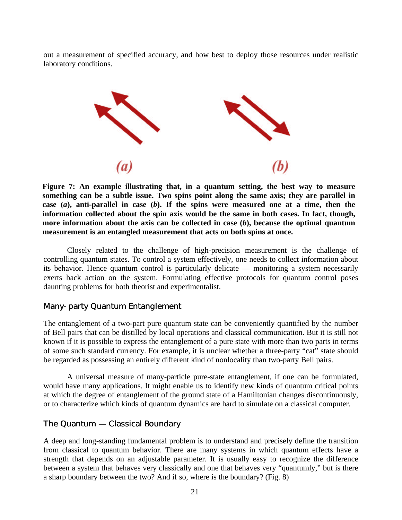out a measurement of specified accuracy, and how best to deploy those resources under realistic laboratory conditions.



**Figure 7: An example illustrating that, in a quantum setting, the best way to measure something can be a subtle issue. Two spins point along the same axis; they are parallel in case (***a***), anti-parallel in case (***b***). If the spins were measured one at a time, then the information collected about the spin axis would be the same in both cases. In fact, though, more information about the axis can be collected in case (***b***), because the optimal quantum measurement is an entangled measurement that acts on both spins at once.**

Closely related to the challenge of high-precision measurement is the challenge of controlling quantum states. To control a system effectively, one needs to collect information about its behavior. Hence quantum control is particularly delicate — monitoring a system necessarily exerts back action on the system. Formulating effective protocols for quantum control poses daunting problems for both theorist and experimentalist.

#### Many-party Quantum Entanglement

The entanglement of a two-part pure quantum state can be conveniently quantified by the number of Bell pairs that can be distilled by local operations and classical communication. But it is still not known if it is possible to express the entanglement of a pure state with more than two parts in terms of some such standard currency. For example, it is unclear whether a three-party "cat" state should be regarded as possessing an entirely different kind of nonlocality than two-party Bell pairs.

A universal measure of many-particle pure-state entanglement, if one can be formulated, would have many applications. It might enable us to identify new kinds of quantum critical points at which the degree of entanglement of the ground state of a Hamiltonian changes discontinuously, or to characterize which kinds of quantum dynamics are hard to simulate on a classical computer.

#### The Quantum — Classical Boundary

A deep and long-standing fundamental problem is to understand and precisely define the transition from classical to quantum behavior. There are many systems in which quantum effects have a strength that depends on an adjustable parameter. It is usually easy to recognize the difference between a system that behaves very classically and one that behaves very "quantumly," but is there a sharp boundary between the two? And if so, where is the boundary? (Fig. 8)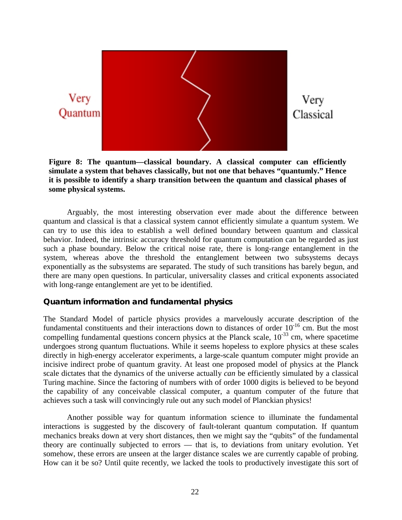

**Figure 8: The quantum—classical boundary. A classical computer can efficiently simulate a system that behaves classically, but not one that behaves "quantumly." Hence it is possible to identify a sharp transition between the quantum and classical phases of some physical systems.**

Arguably, the most interesting observation ever made about the difference between quantum and classical is that a classical system cannot efficiently simulate a quantum system. We can try to use this idea to establish a well defined boundary between quantum and classical behavior. Indeed, the intrinsic accuracy threshold for quantum computation can be regarded as just such a phase boundary. Below the critical noise rate, there is long-range entanglement in the system, whereas above the threshold the entanglement between two subsystems decays exponentially as the subsystems are separated. The study of such transitions has barely begun, and there are many open questions. In particular, universality classes and critical exponents associated with long-range entanglement are yet to be identified.

#### **Quantum information and fundamental physics**

The Standard Model of particle physics provides a marvelously accurate description of the fundamental constituents and their interactions down to distances of order  $10^{-16}$  cm. But the most compelling fundamental questions concern physics at the Planck scale,  $10^{-33}$  cm, where spacetime undergoes strong quantum fluctuations. While it seems hopeless to explore physics at these scales directly in high-energy accelerator experiments, a large-scale quantum computer might provide an incisive indirect probe of quantum gravity. At least one proposed model of physics at the Planck scale dictates that the dynamics of the universe actually *can* be efficiently simulated by a classical Turing machine. Since the factoring of numbers with of order 1000 digits is believed to be beyond the capability of any conceivable classical computer, a quantum computer of the future that achieves such a task will convincingly rule out any such model of Planckian physics!

Another possible way for quantum information science to illuminate the fundamental interactions is suggested by the discovery of fault-tolerant quantum computation. If quantum mechanics breaks down at very short distances, then we might say the "qubits" of the fundamental theory are continually subjected to errors — that is, to deviations from unitary evolution. Yet somehow, these errors are unseen at the larger distance scales we are currently capable of probing. How can it be so? Until quite recently, we lacked the tools to productively investigate this sort of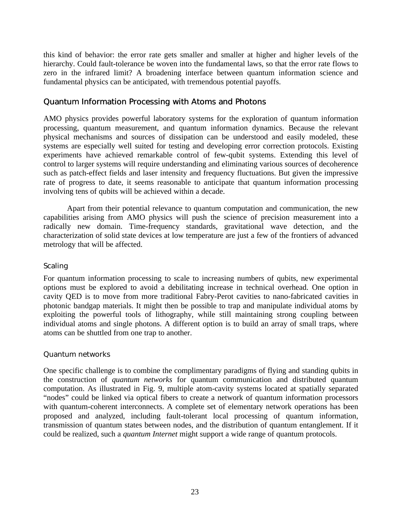this kind of behavior: the error rate gets smaller and smaller at higher and higher levels of the hierarchy. Could fault-tolerance be woven into the fundamental laws, so that the error rate flows to zero in the infrared limit? A broadening interface between quantum information science and fundamental physics can be anticipated, with tremendous potential payoffs.

#### Quantum Information Processing with Atoms and Photons

AMO physics provides powerful laboratory systems for the exploration of quantum information processing, quantum measurement, and quantum information dynamics. Because the relevant physical mechanisms and sources of dissipation can be understood and easily modeled, these systems are especially well suited for testing and developing error correction protocols. Existing experiments have achieved remarkable control of few-qubit systems. Extending this level of control to larger systems will require understanding and eliminating various sources of decoherence such as patch-effect fields and laser intensity and frequency fluctuations. But given the impressive rate of progress to date, it seems reasonable to anticipate that quantum information processing involving tens of qubits will be achieved within a decade.

Apart from their potential relevance to quantum computation and communication, the new capabilities arising from AMO physics will push the science of precision measurement into a radically new domain. Time-frequency standards, gravitational wave detection, and the characterization of solid state devices at low temperature are just a few of the frontiers of advanced metrology that will be affected.

#### *Scaling*

For quantum information processing to scale to increasing numbers of qubits, new experimental options must be explored to avoid a debilitating increase in technical overhead. One option in cavity QED is to move from more traditional Fabry-Perot cavities to nano-fabricated cavities in photonic bandgap materials. It might then be possible to trap and manipulate individual atoms by exploiting the powerful tools of lithography, while still maintaining strong coupling between individual atoms and single photons. A different option is to build an array of small traps, where atoms can be shuttled from one trap to another.

#### *Quantum networks*

One specific challenge is to combine the complimentary paradigms of flying and standing qubits in the construction of *quantum networks* for quantum communication and distributed quantum computation. As illustrated in Fig. 9, multiple atom-cavity systems located at spatially separated "nodes" could be linked via optical fibers to create a network of quantum information processors with quantum-coherent interconnects. A complete set of elementary network operations has been proposed and analyzed, including fault-tolerant local processing of quantum information, transmission of quantum states between nodes, and the distribution of quantum entanglement. If it could be realized, such a *quantum Internet* might support a wide range of quantum protocols.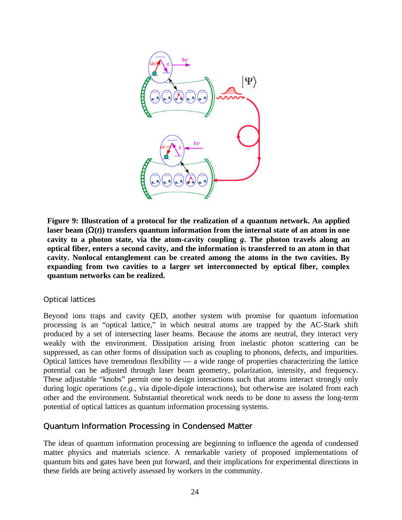

**Figure 9: Illustration of a protocol for the realization of a quantum network. An applied laser beam (**Ω**(***t***)) transfers quantum information from the internal state of an atom in one cavity to a photon state, via the atom-cavity coupling** *g***. The photon travels along an optical fiber, enters a second cavity, and the information is transferred to an atom in that cavity. Nonlocal entanglement can be created among the atoms in the two cavities. By expanding from two cavities to a larger set interconnected by optical fiber, complex quantum networks can be realized.**

#### *Optical lattices*

Beyond ions traps and cavity QED, another system with promise for quantum information processing is an "optical lattice," in which neutral atoms are trapped by the AC-Stark shift produced by a set of intersecting laser beams. Because the atoms are neutral, they interact very weakly with the environment. Dissipation arising from inelastic photon scattering can be suppressed, as can other forms of dissipation such as coupling to phonons, defects, and impurities. Optical lattices have tremendous flexibility — a wide range of properties characterizing the lattice potential can be adjusted through laser beam geometry, polarization, intensity, and frequency. These adjustable "knobs" permit one to design interactions such that atoms interact strongly only during logic operations (*e.g.*, via dipole-dipole interactions), but otherwise are isolated from each other and the environment. Substantial theoretical work needs to be done to assess the long-term potential of optical lattices as quantum information processing systems.

#### Quantum Information Processing in Condensed Matter

The ideas of quantum information processing are beginning to influence the agenda of condensed matter physics and materials science. A remarkable variety of proposed implementations of quantum bits and gates have been put forward, and their implications for experimental directions in these fields are being actively assessed by workers in the community.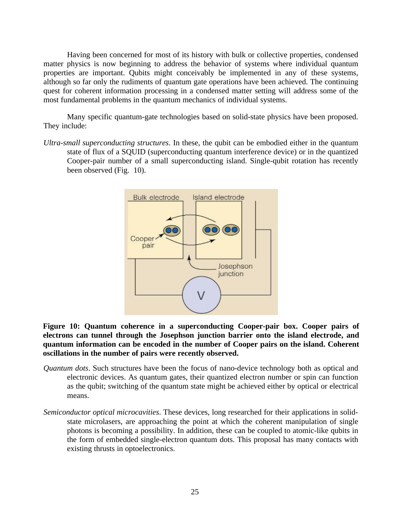Having been concerned for most of its history with bulk or collective properties, condensed matter physics is now beginning to address the behavior of systems where individual quantum properties are important. Qubits might conceivably be implemented in any of these systems, although so far only the rudiments of quantum gate operations have been achieved. The continuing quest for coherent information processing in a condensed matter setting will address some of the most fundamental problems in the quantum mechanics of individual systems.

Many specific quantum-gate technologies based on solid-state physics have been proposed. They include:

*Ultra-small superconducting structures*. In these, the qubit can be embodied either in the quantum state of flux of a SQUID (superconducting quantum interference device) or in the quantized Cooper-pair number of a small superconducting island. Single-qubit rotation has recently been observed (Fig. 10).



**Figure 10: Quantum coherence in a superconducting Cooper-pair box. Cooper pairs of electrons can tunnel through the Josephson junction barrier onto the island electrode, and quantum information can be encoded in the number of Cooper pairs on the island. Coherent oscillations in the number of pairs were recently observed.**

- *Quantum dots*. Such structures have been the focus of nano-device technology both as optical and electronic devices. As quantum gates, their quantized electron number or spin can function as the qubit; switching of the quantum state might be achieved either by optical or electrical means.
- *Semiconductor optical microcavities*. These devices, long researched for their applications in solidstate microlasers, are approaching the point at which the coherent manipulation of single photons is becoming a possibility. In addition, these can be coupled to atomic-like qubits in the form of embedded single-electron quantum dots. This proposal has many contacts with existing thrusts in optoelectronics.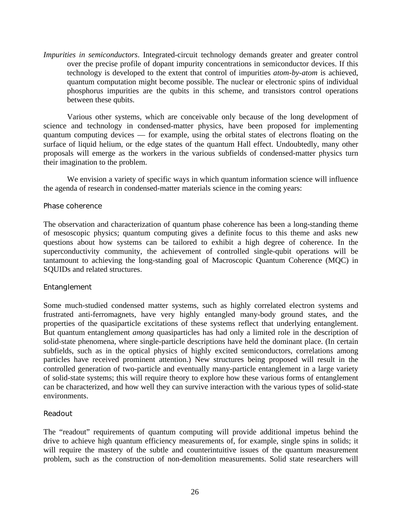*Impurities in semiconductors*. Integrated-circuit technology demands greater and greater control over the precise profile of dopant impurity concentrations in semiconductor devices. If this technology is developed to the extent that control of impurities *atom-by-atom* is achieved, quantum computation might become possible. The nuclear or electronic spins of individual phosphorus impurities are the qubits in this scheme, and transistors control operations between these qubits.

Various other systems, which are conceivable only because of the long development of science and technology in condensed-matter physics, have been proposed for implementing quantum computing devices — for example, using the orbital states of electrons floating on the surface of liquid helium, or the edge states of the quantum Hall effect. Undoubtedly, many other proposals will emerge as the workers in the various subfields of condensed-matter physics turn their imagination to the problem.

We envision a variety of specific ways in which quantum information science will influence the agenda of research in condensed-matter materials science in the coming years:

#### *Phase coherence*

The observation and characterization of quantum phase coherence has been a long-standing theme of mesoscopic physics; quantum computing gives a definite focus to this theme and asks new questions about how systems can be tailored to exhibit a high degree of coherence. In the superconductivity community, the achievement of controlled single-qubit operations will be tantamount to achieving the long-standing goal of Macroscopic Quantum Coherence (MQC) in SQUIDs and related structures.

#### *Entanglement*

Some much-studied condensed matter systems, such as highly correlated electron systems and frustrated anti-ferromagnets, have very highly entangled many-body ground states, and the properties of the quasiparticle excitations of these systems reflect that underlying entanglement. But quantum entanglement *among* quasiparticles has had only a limited role in the description of solid-state phenomena, where single-particle descriptions have held the dominant place. (In certain subfields, such as in the optical physics of highly excited semiconductors, correlations among particles have received prominent attention.) New structures being proposed will result in the controlled generation of two-particle and eventually many-particle entanglement in a large variety of solid-state systems; this will require theory to explore how these various forms of entanglement can be characterized, and how well they can survive interaction with the various types of solid-state environments.

#### *Readout*

The "readout" requirements of quantum computing will provide additional impetus behind the drive to achieve high quantum efficiency measurements of, for example, single spins in solids; it will require the mastery of the subtle and counterintuitive issues of the quantum measurement problem, such as the construction of non-demolition measurements. Solid state researchers will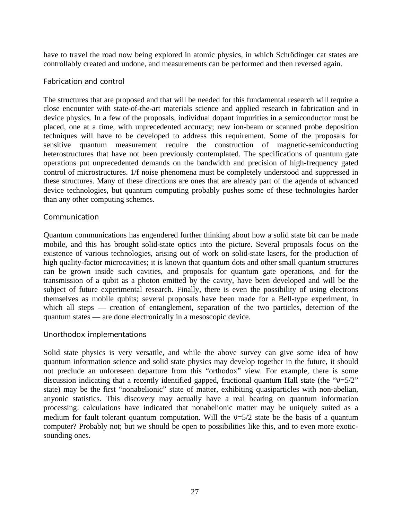have to travel the road now being explored in atomic physics, in which Schrödinger cat states are controllably created and undone, and measurements can be performed and then reversed again.

#### *Fabrication and control*

The structures that are proposed and that will be needed for this fundamental research will require a close encounter with state-of-the-art materials science and applied research in fabrication and in device physics. In a few of the proposals, individual dopant impurities in a semiconductor must be placed, one at a time, with unprecedented accuracy; new ion-beam or scanned probe deposition techniques will have to be developed to address this requirement. Some of the proposals for sensitive quantum measurement require the construction of magnetic-semiconducting heterostructures that have not been previously contemplated. The specifications of quantum gate operations put unprecedented demands on the bandwidth and precision of high-frequency gated control of microstructures. 1/f noise phenomena must be completely understood and suppressed in these structures. Many of these directions are ones that are already part of the agenda of advanced device technologies, but quantum computing probably pushes some of these technologies harder than any other computing schemes.

#### *Communication*

Quantum communications has engendered further thinking about how a solid state bit can be made mobile, and this has brought solid-state optics into the picture. Several proposals focus on the existence of various technologies, arising out of work on solid-state lasers, for the production of high quality-factor microcavities; it is known that quantum dots and other small quantum structures can be grown inside such cavities, and proposals for quantum gate operations, and for the transmission of a qubit as a photon emitted by the cavity, have been developed and will be the subject of future experimental research. Finally, there is even the possibility of using electrons themselves as mobile qubits; several proposals have been made for a Bell-type experiment, in which all steps — creation of entanglement, separation of the two particles, detection of the quantum states — are done electronically in a mesoscopic device.

#### *Unorthodox implementations*

Solid state physics is very versatile, and while the above survey can give some idea of how quantum information science and solid state physics may develop together in the future, it should not preclude an unforeseen departure from this "orthodox" view. For example, there is some discussion indicating that a recently identified gapped, fractional quantum Hall state (the " $v=5/2$ " state) may be the first "nonabelionic" state of matter, exhibiting quasiparticles with non-abelian, anyonic statistics. This discovery may actually have a real bearing on quantum information processing: calculations have indicated that nonabelionic matter may be uniquely suited as a medium for fault tolerant quantum computation. Will the  $v=5/2$  state be the basis of a quantum computer? Probably not; but we should be open to possibilities like this, and to even more exoticsounding ones.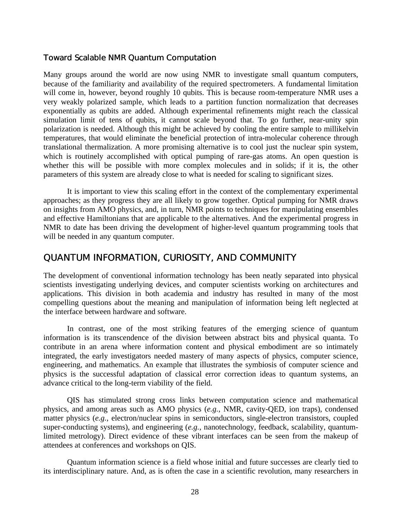#### Toward Scalable NMR Quantum Computation

Many groups around the world are now using NMR to investigate small quantum computers, because of the familiarity and availability of the required spectrometers. A fundamental limitation will come in, however, beyond roughly 10 qubits. This is because room-temperature NMR uses a very weakly polarized sample, which leads to a partition function normalization that decreases exponentially as qubits are added. Although experimental refinements might reach the classical simulation limit of tens of qubits, it cannot scale beyond that. To go further, near-unity spin polarization is needed. Although this might be achieved by cooling the entire sample to millikelvin temperatures, that would eliminate the beneficial protection of intra-molecular coherence through translational thermalization. A more promising alternative is to cool just the nuclear spin system, which is routinely accomplished with optical pumping of rare-gas atoms. An open question is whether this will be possible with more complex molecules and in solids; if it is, the other parameters of this system are already close to what is needed for scaling to significant sizes.

It is important to view this scaling effort in the context of the complementary experimental approaches; as they progress they are all likely to grow together. Optical pumping for NMR draws on insights from AMO physics, and, in turn, NMR points to techniques for manipulating ensembles and effective Hamiltonians that are applicable to the alternatives. And the experimental progress in NMR to date has been driving the development of higher-level quantum programming tools that will be needed in any quantum computer.

#### QUANTUM INFORMATION, CURIOSITY, AND COMMUNITY

The development of conventional information technology has been neatly separated into physical scientists investigating underlying devices, and computer scientists working on architectures and applications. This division in both academia and industry has resulted in many of the most compelling questions about the meaning and manipulation of information being left neglected at the interface between hardware and software.

In contrast, one of the most striking features of the emerging science of quantum information is its transcendence of the division between abstract bits and physical quanta. To contribute in an arena where information content and physical embodiment are so intimately integrated, the early investigators needed mastery of many aspects of physics, computer science, engineering, and mathematics. An example that illustrates the symbiosis of computer science and physics is the successful adaptation of classical error correction ideas to quantum systems, an advance critical to the long-term viability of the field.

QIS has stimulated strong cross links between computation science and mathematical physics, and among areas such as AMO physics (*e.g.*, NMR, cavity-QED, ion traps), condensed matter physics (*e.g.*, electron/nuclear spins in semiconductors, single-electron transistors, coupled super-conducting systems), and engineering (*e.g.*, nanotechnology, feedback, scalability, quantumlimited metrology). Direct evidence of these vibrant interfaces can be seen from the makeup of attendees at conferences and workshops on QIS.

Quantum information science is a field whose initial and future successes are clearly tied to its interdisciplinary nature. And, as is often the case in a scientific revolution, many researchers in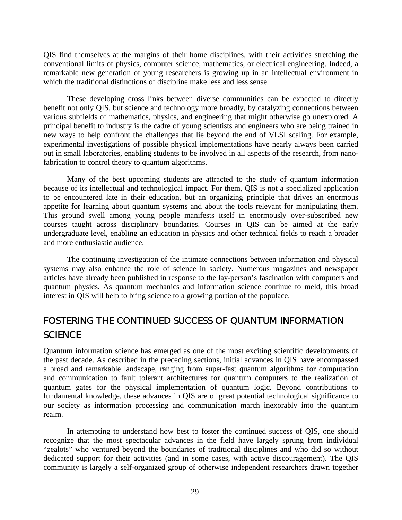QIS find themselves at the margins of their home disciplines, with their activities stretching the conventional limits of physics, computer science, mathematics, or electrical engineering. Indeed, a remarkable new generation of young researchers is growing up in an intellectual environment in which the traditional distinctions of discipline make less and less sense.

These developing cross links between diverse communities can be expected to directly benefit not only QIS, but science and technology more broadly, by catalyzing connections between various subfields of mathematics, physics, and engineering that might otherwise go unexplored. A principal benefit to industry is the cadre of young scientists and engineers who are being trained in new ways to help confront the challenges that lie beyond the end of VLSI scaling. For example, experimental investigations of possible physical implementations have nearly always been carried out in small laboratories, enabling students to be involved in all aspects of the research, from nanofabrication to control theory to quantum algorithms.

Many of the best upcoming students are attracted to the study of quantum information because of its intellectual and technological impact. For them, QIS is not a specialized application to be encountered late in their education, but an organizing principle that drives an enormous appetite for learning about quantum systems and about the tools relevant for manipulating them. This ground swell among young people manifests itself in enormously over-subscribed new courses taught across disciplinary boundaries. Courses in QIS can be aimed at the early undergraduate level, enabling an education in physics and other technical fields to reach a broader and more enthusiastic audience.

The continuing investigation of the intimate connections between information and physical systems may also enhance the role of science in society. Numerous magazines and newspaper articles have already been published in response to the lay-person's fascination with computers and quantum physics. As quantum mechanics and information science continue to meld, this broad interest in QIS will help to bring science to a growing portion of the populace.

### FOSTERING THE CONTINUED SUCCESS OF QUANTUM INFORMATION **SCIENCE**

Quantum information science has emerged as one of the most exciting scientific developments of the past decade. As described in the preceding sections, initial advances in QIS have encompassed a broad and remarkable landscape, ranging from super-fast quantum algorithms for computation and communication to fault tolerant architectures for quantum computers to the realization of quantum gates for the physical implementation of quantum logic. Beyond contributions to fundamental knowledge, these advances in QIS are of great potential technological significance to our society as information processing and communication march inexorably into the quantum realm.

In attempting to understand how best to foster the continued success of QIS, one should recognize that the most spectacular advances in the field have largely sprung from individual "zealots" who ventured beyond the boundaries of traditional disciplines and who did so without dedicated support for their activities (and in some cases, with active discouragement). The QIS community is largely a self-organized group of otherwise independent researchers drawn together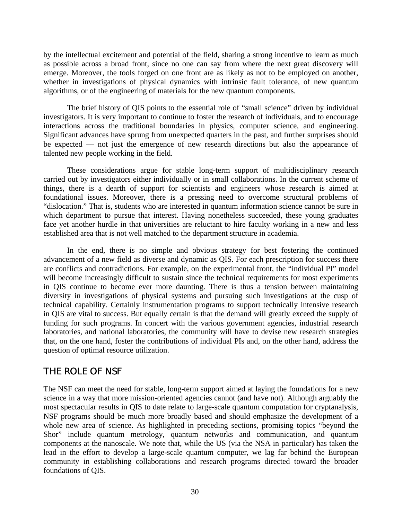by the intellectual excitement and potential of the field, sharing a strong incentive to learn as much as possible across a broad front, since no one can say from where the next great discovery will emerge. Moreover, the tools forged on one front are as likely as not to be employed on another, whether in investigations of physical dynamics with intrinsic fault tolerance, of new quantum algorithms, or of the engineering of materials for the new quantum components.

The brief history of QIS points to the essential role of "small science" driven by individual investigators. It is very important to continue to foster the research of individuals, and to encourage interactions across the traditional boundaries in physics, computer science, and engineering. Significant advances have sprung from unexpected quarters in the past, and further surprises should be expected — not just the emergence of new research directions but also the appearance of talented new people working in the field.

These considerations argue for stable long-term support of multidisciplinary research carried out by investigators either individually or in small collaborations. In the current scheme of things, there is a dearth of support for scientists and engineers whose research is aimed at foundational issues. Moreover, there is a pressing need to overcome structural problems of "dislocation." That is, students who are interested in quantum information science cannot be sure in which department to pursue that interest. Having nonetheless succeeded, these young graduates face yet another hurdle in that universities are reluctant to hire faculty working in a new and less established area that is not well matched to the department structure in academia.

In the end, there is no simple and obvious strategy for best fostering the continued advancement of a new field as diverse and dynamic as QIS. For each prescription for success there are conflicts and contradictions. For example, on the experimental front, the "individual PI" model will become increasingly difficult to sustain since the technical requirements for most experiments in QIS continue to become ever more daunting. There is thus a tension between maintaining diversity in investigations of physical systems and pursuing such investigations at the cusp of technical capability. Certainly instrumentation programs to support technically intensive research in QIS are vital to success. But equally certain is that the demand will greatly exceed the supply of funding for such programs. In concert with the various government agencies, industrial research laboratories, and national laboratories, the community will have to devise new research strategies that, on the one hand, foster the contributions of individual PIs and, on the other hand, address the question of optimal resource utilization.

#### THE ROLE OF NSF

The NSF can meet the need for stable, long-term support aimed at laying the foundations for a new science in a way that more mission-oriented agencies cannot (and have not). Although arguably the most spectacular results in QIS to date relate to large-scale quantum computation for cryptanalysis, NSF programs should be much more broadly based and should emphasize the development of a whole new area of science. As highlighted in preceding sections, promising topics "beyond the Shor" include quantum metrology, quantum networks and communication, and quantum components at the nanoscale. We note that, while the US (via the NSA in particular) has taken the lead in the effort to develop a large-scale quantum computer, we lag far behind the European community in establishing collaborations and research programs directed toward the broader foundations of QIS.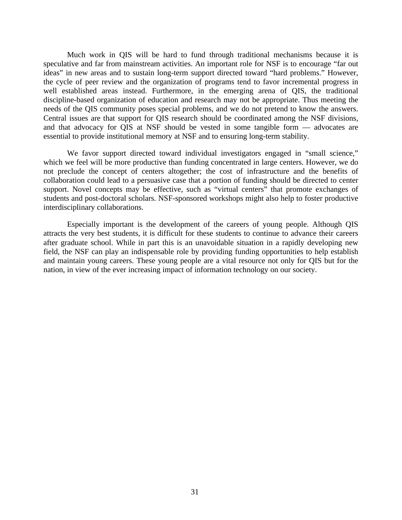Much work in QIS will be hard to fund through traditional mechanisms because it is speculative and far from mainstream activities. An important role for NSF is to encourage "far out ideas" in new areas and to sustain long-term support directed toward "hard problems." However, the cycle of peer review and the organization of programs tend to favor incremental progress in well established areas instead. Furthermore, in the emerging arena of QIS, the traditional discipline-based organization of education and research may not be appropriate. Thus meeting the needs of the QIS community poses special problems, and we do not pretend to know the answers. Central issues are that support for QIS research should be coordinated among the NSF divisions, and that advocacy for QIS at NSF should be vested in some tangible form — advocates are essential to provide institutional memory at NSF and to ensuring long-term stability.

We favor support directed toward individual investigators engaged in "small science," which we feel will be more productive than funding concentrated in large centers. However, we do not preclude the concept of centers altogether; the cost of infrastructure and the benefits of collaboration could lead to a persuasive case that a portion of funding should be directed to center support. Novel concepts may be effective, such as "virtual centers" that promote exchanges of students and post-doctoral scholars. NSF-sponsored workshops might also help to foster productive interdisciplinary collaborations.

Especially important is the development of the careers of young people. Although QIS attracts the very best students, it is difficult for these students to continue to advance their careers after graduate school. While in part this is an unavoidable situation in a rapidly developing new field, the NSF can play an indispensable role by providing funding opportunities to help establish and maintain young careers. These young people are a vital resource not only for QIS but for the nation, in view of the ever increasing impact of information technology on our society.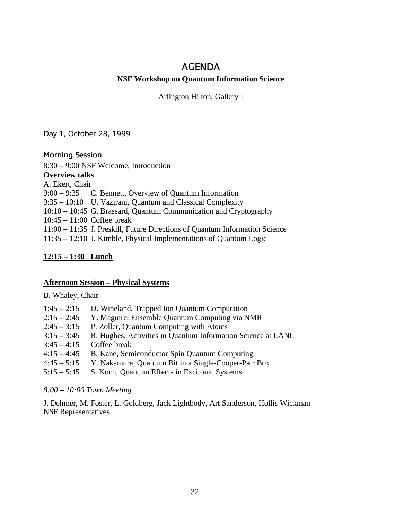#### AGENDA

#### **NSF Workshop on Quantum Information Science**

Arlington Hilton, Gallery I

#### Day 1, October 28, 1999

#### Morning Session

8:30 – 9:00 NSF Welcome, Introduction

#### **Overview talks**

A. Ekert, Chair

9:00 – 9:35 C. Bennett, Overview of Quantum Information

9:35 – 10:10 U. Vazirani, Quantum and Classical Complexity

10:10 – 10:45 G. Brassard, Quantum Communication and Cryptography

10:45 – 11:00 Coffee break

11:00 – 11:35 J. Preskill, Future Directions of Quantum Information Science

11:35 – 12:10 J. Kimble, Physical Implementations of Quantum Logic

#### **12:15 – 1:30 Lunch**

#### **Afternoon Session – Physical Systems**

B. Whaley, Chair

| $1:45 - 2:15$ D. Wineland, Trapped Ion Quantum Computation  |
|-------------------------------------------------------------|
| $2.15$ $2.45$ V Meaning Executely Overturn Commuting rig MM |

- 2:15 2:45 Y. Maguire, Ensemble Quantum Computing via NMR
- $2:45 3:15$  P. Zoller, Quantum Computing with Atoms
- 3:15 3:45 R. Hughes, Activities in Quantum Information Science at LANL
- $3:45 4:15$  Coffee break
- 4:15 4:45 B. Kane, Semiconductor Spin Quantum Computing
- 4:45 5:15 Y. Nakamura, Quantum Bit in a Single-Cooper-Pair Box
- 5:15 5:45 S. Koch, Quantum Effects in Excitonic Systems

#### *8:00 – 10:00 Town Meeting*

J. Dehmer, M. Foster, L. Goldberg, Jack Lightbody, Art Sanderson, Hollis Wickman NSF Representatives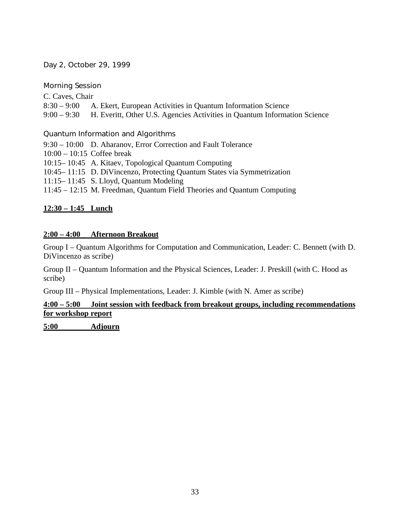#### Day 2, October 29, 1999

#### Morning Session

C. Caves, Chair 8:30 – 9:00 A. Ekert, European Activities in Quantum Information Science 9:00 – 9:30 H. Everitt, Other U.S. Agencies Activities in Quantum Information Science

#### Quantum Information and Algorithms

9:30 – 10:00 D. Aharanov, Error Correction and Fault Tolerance  $10:00 - 10:15$  Coffee break 10:15– 10:45 A. Kitaev, Topological Quantum Computing 10:45– 11:15 D. DiVincenzo, Protecting Quantum States via Symmetrization 11:15– 11:45 S. Lloyd, Quantum Modeling 11:45 – 12:15 M. Freedman, Quantum Field Theories and Quantum Computing

#### **12:30 – 1:45 Lunch**

#### **2:00 – 4:00 Afternoon Breakout**

Group I – Quantum Algorithms for Computation and Communication, Leader: C. Bennett (with D. DiVincenzo as scribe)

Group II – Quantum Information and the Physical Sciences, Leader: J. Preskill (with C. Hood as scribe)

Group III – Physical Implementations, Leader: J. Kimble (with N. Amer as scribe)

#### **4:00 – 5:00 Joint session with feedback from breakout groups, including recommendations for workshop report**

**5:00 Adjourn**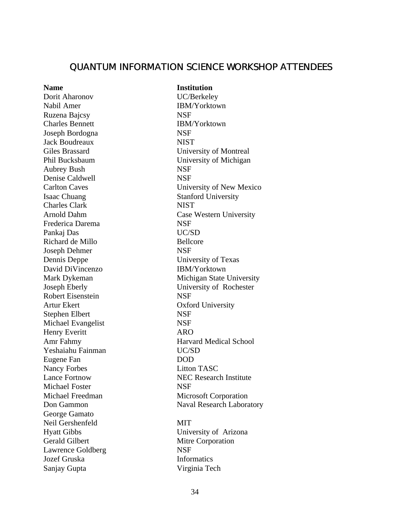#### QUANTUM INFORMATION SCIENCE WORKSHOP ATTENDEES

### Dorit Aharonov UC/Berkeley Nabil Amer IBM/Yorktown Ruzena Bajcsy NSF Charles Bennett IBM/Yorktown Joseph Bordogna NSF Jack Boudreaux NIST Aubrey Bush NSF Denise Caldwell NSF Isaac Chuang Stanford University Charles Clark NIST Frederica Darema NSF Pankaj Das UC/SD Richard de Millo Bellcore Joseph Dehmer NSF Dennis Deppe University of Texas David DiVincenzo IBM/Yorktown Robert Eisenstein NSF Artur Ekert **Oxford University** Stephen Elbert NSF Michael Evangelist NSF Henry Everitt ARO Yeshaiahu Fainman UC/SD Eugene Fan DOD Nancy Forbes Litton TASC Michael Foster NSF George Gamato Neil Gershenfeld MIT Hyatt Gibbs University of Arizona Gerald Gilbert Mitre Corporation Lawrence Goldberg NSF Jozef Gruska **Informatics**

#### **Name Institution**

Giles Brassard University of Montreal Phil Bucksbaum University of Michigan Carlton Caves University of New Mexico Arnold Dahm Case Western University Mark Dykeman Michigan State University Joseph Eberly University of Rochester Amr Fahmy **Harvard Medical School** Lance Fortnow NEC Research Institute Michael Freedman Microsoft Corporation Don Gammon Naval Research Laboratory

Sanjay Gupta Virginia Tech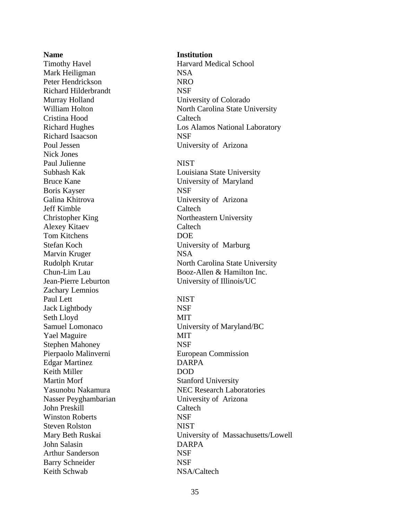**Name Institution** Mark Heiligman NSA Peter Hendrickson NRO Richard Hilderbrandt NSF Murray Holland University of Colorado Cristina Hood Caltech Richard Isaacson NSF Poul Jessen University of Arizona Nick Jones Paul Julienne NIST Bruce Kane University of Maryland Boris Kayser NSF Galina Khitrova **University of Arizona** Jeff Kimble Caltech Christopher King Northeastern University Alexey Kitaev Caltech Tom Kitchens DOE Stefan Koch University of Marburg Marvin Kruger NSA Zachary Lemnios Paul Lett NIST Jack Lightbody NSF Seth Lloyd MIT Yael Maguire MIT Stephen Mahoney NSF Pierpaolo Malinverni European Commission Edgar Martinez DARPA Keith Miller DOD Martin Morf Stanford University Nasser Peyghambarian University of Arizona John Preskill Caltech Winston Roberts NSF Steven Rolston NIST John Salasin DARPA Arthur Sanderson NSF Barry Schneider NSF Keith Schwab NSA/Caltech

# Timothy Havel **Harvard Medical School** William Holton North Carolina State University Richard Hughes Los Alamos National Laboratory Subhash Kak Louisiana State University Rudolph Krutar North Carolina State University Chun-Lim Lau Booz-Allen & Hamilton Inc. Jean-Pierre Leburton University of Illinois/UC Samuel Lomonaco University of Maryland/BC Yasunobu Nakamura NEC Research Laboratories Mary Beth Ruskai University of Massachusetts/Lowell